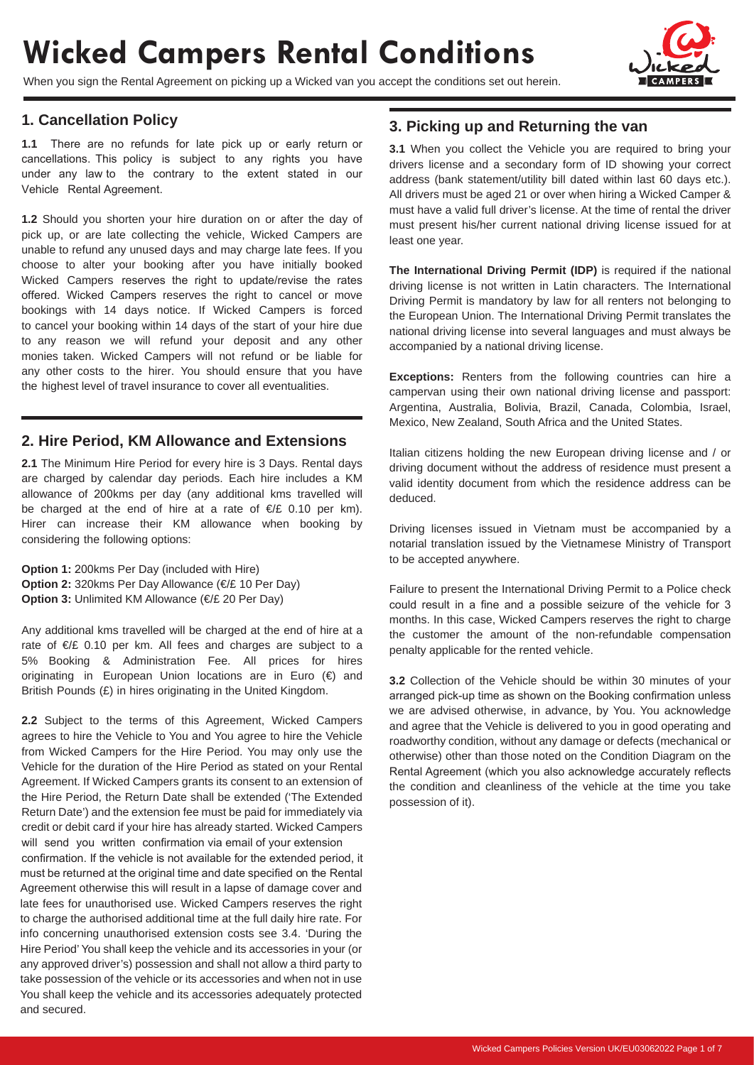# **Wicked Campers Rental Conditions**

When you sign the Rental Agreement on picking up a Wicked van you accept the conditions set out herein.



#### **1. Cancellation Policy**

**1.1** There are no refunds for late pick up or early return or cancellations. This policy is subject to any rights you have under any law to the contrary to the extent stated in our Vehicle Rental Agreement.

**1.2** Should you shorten your hire duration on or after the day of pick up, or are late collecting the vehicle, Wicked Campers are unable to refund any unused days and may charge late fees. If you choose to alter your booking after you have initially booked Wicked Campers reserves the right to update/revise the rates offered. Wicked Campers reserves the right to cancel or move bookings with 14 days notice. If Wicked Campers is forced to cancel your booking within 14 days of the start of your hire due to any reason we will refund your deposit and any other monies taken. Wicked Campers will not refund or be liable for any other costs to the hirer. You should ensure that you have the highest level of travel insurance to cover all eventualities.

#### **2. Hire Period, KM Allowance and Extensions**

**2.1** The Minimum Hire Period for every hire is 3 Days. Rental days are charged by calendar day periods. Each hire includes a KM allowance of 200kms per day (any additional kms travelled will be charged at the end of hire at a rate of €/£ 0.10 per km). Hirer can increase their KM allowance when booking by considering the following options:

**Option 1:** 200kms Per Day (included with Hire) **Option 2:** 320kms Per Day Allowance (€/£ 10 Per Day) **Option 3:** Unlimited KM Allowance (€/£ 20 Per Day)

Any additional kms travelled will be charged at the end of hire at a rate of €/£ 0.10 per km. All fees and charges are subject to a 5% Booking & Administration Fee. All prices for hires originating in European Union locations are in Euro (€) and British Pounds (£) in hires originating in the United Kingdom.

**2.2** Subject to the terms of this Agreement, Wicked Campers agrees to hire the Vehicle to You and You agree to hire the Vehicle from Wicked Campers for the Hire Period. You may only use the Vehicle for the duration of the Hire Period as stated on your Rental Agreement. If Wicked Campers grants its consent to an extension of the Hire Period, the Return Date shall be extended ('The Extended Return Date') and the extension fee must be paid for immediately via credit or debit card if your hire has already started. Wicked Campers will send you written confirmation via email of your extension confirmation. If the vehicle is not available for the extended period, it must be returned at the original time and date specified on the Rental Agreement otherwise this will result in a lapse of damage cover and late fees for unauthorised use. Wicked Campers reserves the right to charge the authorised additional time at the full daily hire rate. For info concerning unauthorised extension costs see 3.4. 'During the Hire Period' You shall keep the vehicle and its accessories in your (or any approved driver's) possession and shall not allow a third party to take possession of the vehicle or its accessories and when not in use You shall keep the vehicle and its accessories adequately protected and secured.

#### **3. Picking up and Returning the van**

**3.1** When you collect the Vehicle you are required to bring your drivers license and a secondary form of ID showing your correct address (bank statement/utility bill dated within last 60 days etc.). All drivers must be aged 21 or over when hiring a Wicked Camper & must have a valid full driver's license. At the time of rental the driver must present his/her current national driving license issued for at least one year.

**The International Driving Permit (IDP)** is required if the national driving license is not written in Latin characters. The International Driving Permit is mandatory by law for all renters not belonging to the European Union. The International Driving Permit translates the national driving license into several languages and must always be accompanied by a national driving license.

**Exceptions:** Renters from the following countries can hire a campervan using their own national driving license and passport: Argentina, Australia, Bolivia, Brazil, Canada, Colombia, Israel, Mexico, New Zealand, South Africa and the United States.

Italian citizens holding the new European driving license and / or driving document without the address of residence must present a valid identity document from which the residence address can be deduced.

Driving licenses issued in Vietnam must be accompanied by a notarial translation issued by the Vietnamese Ministry of Transport to be accepted anywhere.

Failure to present the International Driving Permit to a Police check could result in a fine and a possible seizure of the vehicle for 3 months. In this case, Wicked Campers reserves the right to charge the customer the amount of the non-refundable compensation penalty applicable for the rented vehicle.

**3.2** Collection of the Vehicle should be within 30 minutes of your arranged pick-up time as shown on the Booking confirmation unless we are advised otherwise, in advance, by You. You acknowledge and agree that the Vehicle is delivered to you in good operating and roadworthy condition, without any damage or defects (mechanical or otherwise) other than those noted on the Condition Diagram on the Rental Agreement (which you also acknowledge accurately reflects the condition and cleanliness of the vehicle at the time you take possession of it).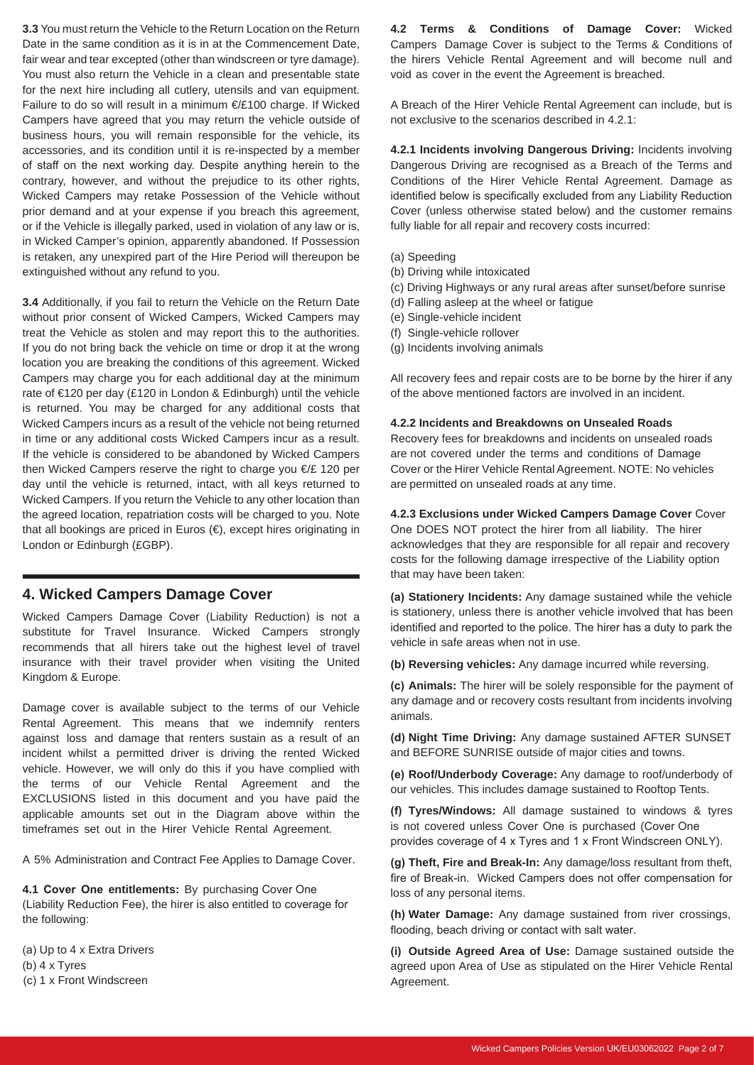**3.3** You must return the Vehicle to the Return Location on the Return Date in the same condition as it is in at the Commencement Date, fair wear and tear excepted (other than windscreen or tyre damage). You must also return the Vehicle in a clean and presentable state for the next hire including all cutlery, utensils and van equipment. Failure to do so will result in a minimum €/£100 charge. If Wicked Campers have agreed that you may return the vehicle outside of business hours, you will remain responsible for the vehicle, its accessories, and its condition until it is re-inspected by a member of staff on the next working day. Despite anything herein to the contrary, however, and without the prejudice to its other rights, Wicked Campers may retake Possession of the Vehicle without prior demand and at your expense if you breach this agreement, or if the Vehicle is illegally parked, used in violation of any law or is, in Wicked Camper's opinion, apparently abandoned. If Possession is retaken, any unexpired part of the Hire Period will thereupon be extinguished without any refund to you.

**3.4** Additionally, if you fail to return the Vehicle on the Return Date without prior consent of Wicked Campers, Wicked Campers may treat the Vehicle as stolen and may report this to the authorities. If you do not bring back the vehicle on time or drop it at the wrong location you are breaking the conditions of this agreement. Wicked Campers may charge you for each additional day at the minimum rate of €120 per day (£120 in London & Edinburgh) until the vehicle is returned. You may be charged for any additional costs that Wicked Campers incurs as a result of the vehicle not being returned in time or any additional costs Wicked Campers incur as a result. If the vehicle is considered to be abandoned by Wicked Campers then Wicked Campers reserve the right to charge you €/£ 120 per day until the vehicle is returned, intact, with all keys returned to Wicked Campers. If you return the Vehicle to any other location than the agreed location, repatriation costs will be charged to you. Note that all bookings are priced in Euros (€), except hires originating in London or Edinburgh (£GBP).

#### **4. Wicked Campers Damage Cover**

Wicked Campers Damage Cover (Liability Reduction) is not a substitute for Travel Insurance. Wicked Campers strongly recommends that all hirers take out the highest level of travel insurance with their travel provider when visiting the United Kingdom & Europe.

Damage cover is available subject to the terms of our Vehicle Rental Agreement. This means that we indemnify renters against loss and damage that renters sustain as a result of an incident whilst a permitted driver is driving the rented Wicked vehicle. However, we will only do this if you have complied with the terms of our Vehicle Rental Agreement and the EXCLUSIONS listed in this document and you have paid the applicable amounts set out in the Diagram above within the timeframes set out in the Hirer Vehicle Rental Agreement.

A 5% Administration and Contract Fee Applies to Damage Cover.

**4.1 Cover One entitlements:** By purchasing Cover One (Liability Reduction Fee), the hirer is also entitled to coverage for the following:

(a) Up to 4 x Extra Drivers (b) 4 x Tyres (c) 1 x Front Windscreen

**4.2 Terms & Conditions of Damage Cover:** Wicked Campers Damage Cover is subject to the Terms & Conditions of the hirers Vehicle Rental Agreement and will become null and void as cover in the event the Agreement is breached.

A Breach of the Hirer Vehicle Rental Agreement can include, but is not exclusive to the scenarios described in 4.2.1:

**4.2.1 Incidents involving Dangerous Driving:** Incidents involving Dangerous Driving are recognised as a Breach of the Terms and Conditions of the Hirer Vehicle Rental Agreement. Damage as identified below is specifically excluded from any Liability Reduction Cover (unless otherwise stated below) and the customer remains fully liable for all repair and recovery costs incurred:

- (a) Speeding
- (b) Driving while intoxicated
- (c) Driving Highways or any rural areas after sunset/before sunrise
- (d) Falling asleep at the wheel or fatigue
- (e) Single-vehicle incident
- (f) Single-vehicle rollover
- (g) Incidents involving animals

All recovery fees and repair costs are to be borne by the hirer if any of the above mentioned factors are involved in an incident.

#### **4.2.2 Incidents and Breakdowns on Unsealed Roads**

Recovery fees for breakdowns and incidents on unsealed roads are not covered under the terms and conditions of Damage Cover or the Hirer Vehicle Rental Agreement. NOTE: No vehicles are permitted on unsealed roads at any time.

**4.2.3 Exclusions under Wicked Campers Damage Cover** Cover One DOES NOT protect the hirer from all liability. The hirer acknowledges that they are responsible for all repair and recovery costs for the following damage irrespective of the Liability option that may have been taken:

**(a) Stationery Incidents:** Any damage sustained while the vehicle is stationery, unless there is another vehicle involved that has been identified and reported to the police. The hirer has a duty to park the vehicle in safe areas when not in use.

**(b) Reversing vehicles:** Any damage incurred while reversing.

**(c) Animals:** The hirer will be solely responsible for the payment of any damage and or recovery costs resultant from incidents involving animals.

**(d) Night Time Driving:** Any damage sustained AFTER SUNSET and BEFORE SUNRISE outside of major cities and towns.

**(e) Roof/Underbody Coverage:** Any damage to roof/underbody of our vehicles. This includes damage sustained to Rooftop Tents.

**(f) Tyres/Windows:** All damage sustained to windows & tyres is not covered unless Cover One is purchased (Cover One provides coverage of 4 x Tyres and 1 x Front Windscreen ONLY).

**(g) Theft, Fire and Break-In:** Any damage/loss resultant from theft, fire of Break-in. Wicked Campers does not offer compensation for loss of any personal items.

**(h) Water Damage:** Any damage sustained from river crossings, flooding, beach driving or contact with salt water.

**(i) Outside Agreed Area of Use:** Damage sustained outside the agreed upon Area of Use as stipulated on the Hirer Vehicle Rental Agreement.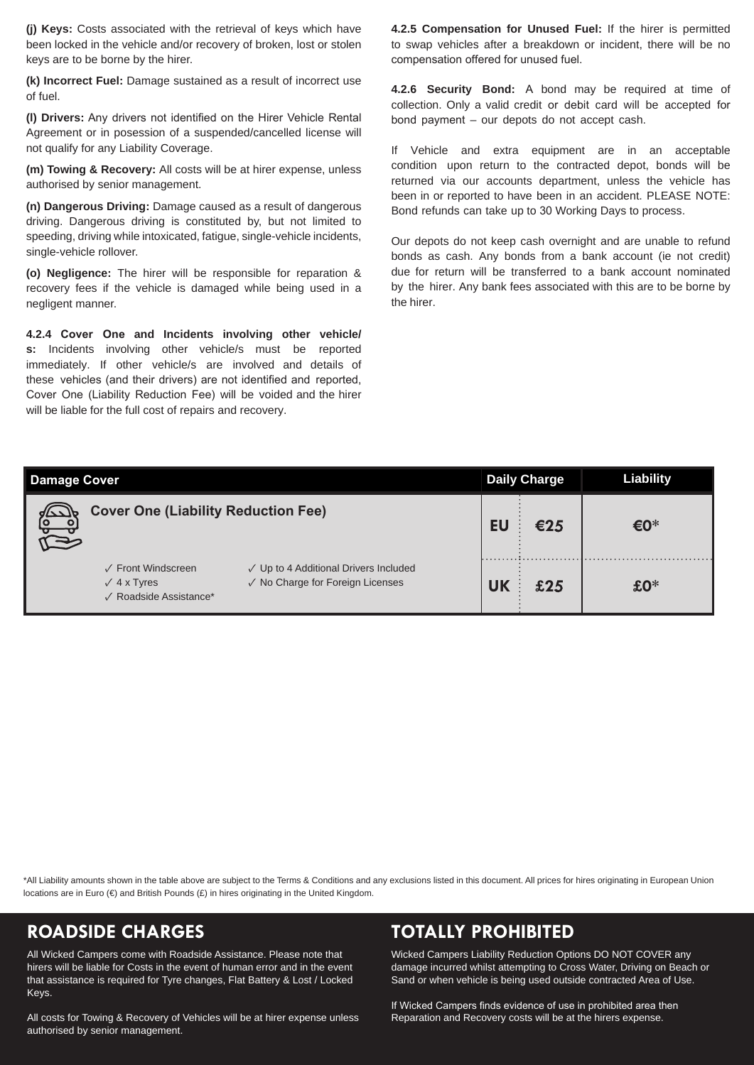**(j) Keys:** Costs associated with the retrieval of keys which have been locked in the vehicle and/or recovery of broken, lost or stolen keys are to be borne by the hirer.

**(k) Incorrect Fuel:** Damage sustained as a result of incorrect use of fuel.

**(l) Drivers:** Any drivers not identified on the Hirer Vehicle Rental Agreement or in posession of a suspended/cancelled license will not qualify for any Liability Coverage.

**(m) Towing & Recovery:** All costs will be at hirer expense, unless authorised by senior management.

**(n) Dangerous Driving:** Damage caused as a result of dangerous driving. Dangerous driving is constituted by, but not limited to speeding, driving while intoxicated, fatigue, single-vehicle incidents, single-vehicle rollover.

**(o) Negligence:** The hirer will be responsible for reparation & recovery fees if the vehicle is damaged while being used in a negligent manner.

**4.2.4 Cover One and Incidents involving other vehicle/ s:** Incidents involving other vehicle/s must be reported immediately. If other vehicle/s are involved and details of these vehicles (and their drivers) are not identified and reported, Cover One (Liability Reduction Fee) will be voided and the hirer will be liable for the full cost of repairs and recovery.

**4.2.5 Compensation for Unused Fuel:** If the hirer is permitted to swap vehicles after a breakdown or incident, there will be no compensation offered for unused fuel.

**4.2.6 Security Bond:** A bond may be required at time of collection. Only a valid credit or debit card will be accepted for bond payment – our depots do not accept cash.

If Vehicle and extra equipment are in an acceptable condition upon return to the contracted depot, bonds will be returned via our accounts department, unless the vehicle has been in or reported to have been in an accident. PLEASE NOTE: Bond refunds can take up to 30 Working Days to process.

Our depots do not keep cash overnight and are unable to refund bonds as cash. Any bonds from a bank account (ie not credit) due for return will be transferred to a bank account nominated by the hirer. Any bank fees associated with this are to be borne by the hirer.

| <b>Damage Cover</b>                                                                   |                                                                           |    | <b>Daily Charge</b> | <b>Liability</b> |
|---------------------------------------------------------------------------------------|---------------------------------------------------------------------------|----|---------------------|------------------|
| <b>Cover One (Liability Reduction Fee)</b>                                            |                                                                           | El | €25                 | €0*              |
| $\sqrt{\phantom{0}}$ Front Windscreen<br>$\sqrt{4}$ x Tyres<br>√ Roadside Assistance* | √ Up to 4 Additional Drivers Included<br>√ No Charge for Foreign Licenses |    | £25                 | $£0*$            |

\*All Liability amounts shown in the table above are subject to the Terms & Conditions and any exclusions listed in this document. All prices for hires originating in European Union locations are in Euro ( $\in$ ) and British Pounds (£) in hires originating in the United Kingdom.

All Wicked Campers come with Roadside Assistance. Please note that hirers will be liable for Costs in the event of human error and in the event that assistance is required for Tyre changes, Flat Battery & Lost / Locked Keys.

All costs for Towing & Recovery of Vehicles will be at hirer expense unless authorised by senior management.

## **ROADSIDE CHARGES TOTALLY PROHIBITED**

Wicked Campers Liability Reduction Options DO NOT COVER any damage incurred whilst attempting to Cross Water, Driving on Beach or Sand or when vehicle is being used outside contracted Area of Use.

If Wicked Campers finds evidence of use in prohibited area then Reparation and Recovery costs will be at the hirers expense.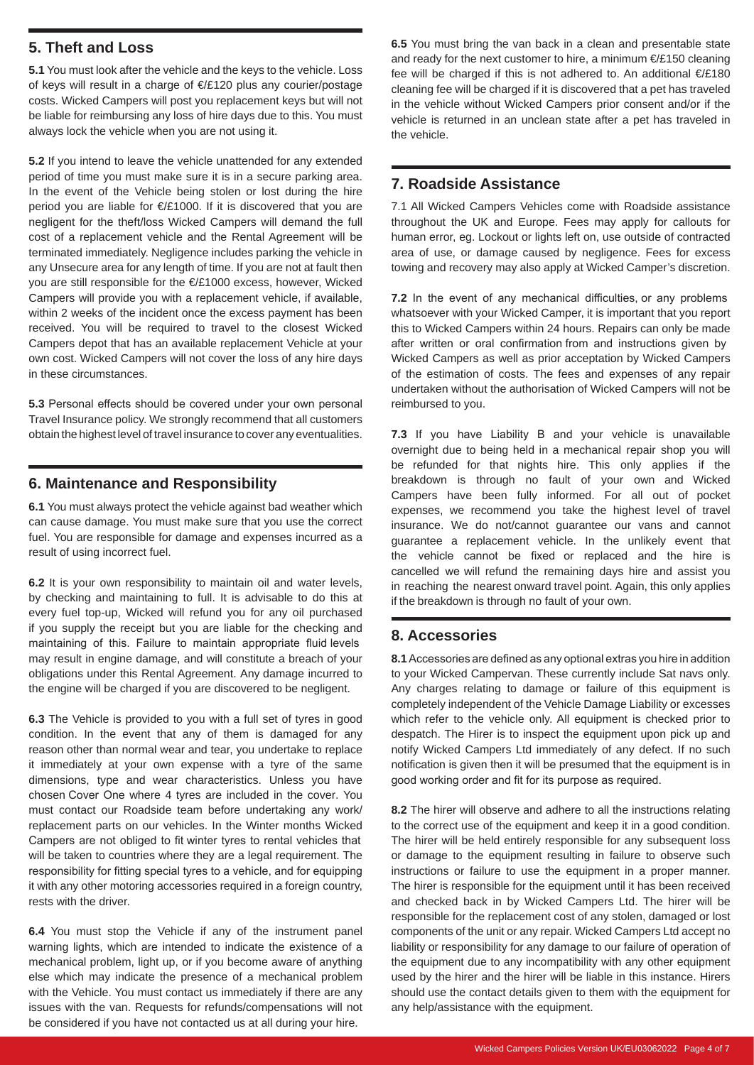#### **5. Theft and Loss**

**5.1** You must look after the vehicle and the keys to the vehicle. Loss of keys will result in a charge of €/£120 plus any courier/postage costs. Wicked Campers will post you replacement keys but will not be liable for reimbursing any loss of hire days due to this. You must always lock the vehicle when you are not using it.

**5.2** If you intend to leave the vehicle unattended for any extended period of time you must make sure it is in a secure parking area. In the event of the Vehicle being stolen or lost during the hire period you are liable for €/£1000. If it is discovered that you are negligent for the theft/loss Wicked Campers will demand the full cost of a replacement vehicle and the Rental Agreement will be terminated immediately. Negligence includes parking the vehicle in any Unsecure area for any length of time. If you are not at fault then you are still responsible for the €/£1000 excess, however, Wicked Campers will provide you with a replacement vehicle, if available, within 2 weeks of the incident once the excess payment has been received. You will be required to travel to the closest Wicked Campers depot that has an available replacement Vehicle at your own cost. Wicked Campers will not cover the loss of any hire days in these circumstances.

**5.3** Personal effects should be covered under your own personal Travel Insurance policy. We strongly recommend that all customers obtain the highest level of travel insurance to cover any eventualities.

#### **6. Maintenance and Responsibility**

**6.1** You must always protect the vehicle against bad weather which can cause damage. You must make sure that you use the correct fuel. You are responsible for damage and expenses incurred as a result of using incorrect fuel.

**6.2** It is your own responsibility to maintain oil and water levels, by checking and maintaining to full. It is advisable to do this at every fuel top-up, Wicked will refund you for any oil purchased if you supply the receipt but you are liable for the checking and maintaining of this. Failure to maintain appropriate fluid levels may result in engine damage, and will constitute a breach of your obligations under this Rental Agreement. Any damage incurred to the engine will be charged if you are discovered to be negligent.

**6.3** The Vehicle is provided to you with a full set of tyres in good condition. In the event that any of them is damaged for any reason other than normal wear and tear, you undertake to replace it immediately at your own expense with a tyre of the same dimensions, type and wear characteristics. Unless you have chosen Cover One where 4 tyres are included in the cover. You must contact our Roadside team before undertaking any work/ replacement parts on our vehicles. In the Winter months Wicked Campers are not obliged to fit winter tyres to rental vehicles that will be taken to countries where they are a legal requirement. The responsibility for fitting special tyres to a vehicle, and for equipping it with any other motoring accessories required in a foreign country, rests with the driver.

**6.4** You must stop the Vehicle if any of the instrument panel warning lights, which are intended to indicate the existence of a mechanical problem, light up, or if you become aware of anything else which may indicate the presence of a mechanical problem with the Vehicle. You must contact us immediately if there are any issues with the van. Requests for refunds/compensations will not be considered if you have not contacted us at all during your hire.

**6.5** You must bring the van back in a clean and presentable state and ready for the next customer to hire, a minimum €/£150 cleaning fee will be charged if this is not adhered to. An additional €/£180 cleaning fee will be charged if it is discovered that a pet has traveled in the vehicle without Wicked Campers prior consent and/or if the vehicle is returned in an unclean state after a pet has traveled in the vehicle.

#### **7. Roadside Assistance**

7.1 All Wicked Campers Vehicles come with Roadside assistance throughout the UK and Europe. Fees may apply for callouts for human error, eg. Lockout or lights left on, use outside of contracted area of use, or damage caused by negligence. Fees for excess towing and recovery may also apply at Wicked Camper's discretion.

**7.2** In the event of any mechanical difficulties, or any problems whatsoever with your Wicked Camper, it is important that you report this to Wicked Campers within 24 hours. Repairs can only be made after written or oral confirmation from and instructions given by Wicked Campers as well as prior acceptation by Wicked Campers of the estimation of costs. The fees and expenses of any repair undertaken without the authorisation of Wicked Campers will not be reimbursed to you.

**7.3** If you have Liability B and your vehicle is unavailable overnight due to being held in a mechanical repair shop you will be refunded for that nights hire. This only applies if the breakdown is through no fault of your own and Wicked Campers have been fully informed. For all out of pocket expenses, we recommend you take the highest level of travel insurance. We do not/cannot guarantee our vans and cannot guarantee a replacement vehicle. In the unlikely event that the vehicle cannot be fixed or replaced and the hire is cancelled we will refund the remaining days hire and assist you in reaching the nearest onward travel point. Again, this only applies if the breakdown is through no fault of your own.

#### **8. Accessories**

**8.1** Accessories are defined as any optional extras you hire in addition to your Wicked Campervan. These currently include Sat navs only. Any charges relating to damage or failure of this equipment is completely independent of the Vehicle Damage Liability or excesses which refer to the vehicle only. All equipment is checked prior to despatch. The Hirer is to inspect the equipment upon pick up and notify Wicked Campers Ltd immediately of any defect. If no such notification is given then it will be presumed that the equipment is in good working order and fit for its purpose as required.

**8.2** The hirer will observe and adhere to all the instructions relating to the correct use of the equipment and keep it in a good condition. The hirer will be held entirely responsible for any subsequent loss or damage to the equipment resulting in failure to observe such instructions or failure to use the equipment in a proper manner. The hirer is responsible for the equipment until it has been received and checked back in by Wicked Campers Ltd. The hirer will be responsible for the replacement cost of any stolen, damaged or lost components of the unit or any repair. Wicked Campers Ltd accept no liability or responsibility for any damage to our failure of operation of the equipment due to any incompatibility with any other equipment used by the hirer and the hirer will be liable in this instance. Hirers should use the contact details given to them with the equipment for any help/assistance with the equipment.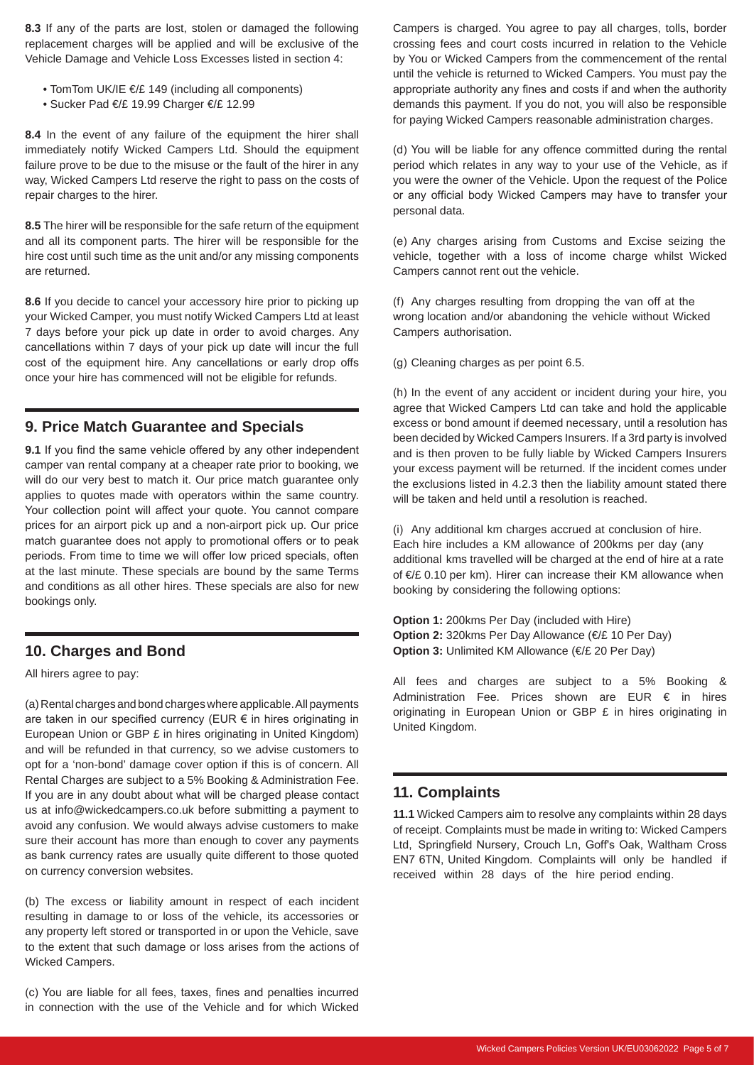**8.3** If any of the parts are lost, stolen or damaged the following replacement charges will be applied and will be exclusive of the Vehicle Damage and Vehicle Loss Excesses listed in section 4:

- TomTom UK/IE €/£ 149 (including all components)
- Sucker Pad €/£ 19.99 Charger €/£ 12.99

**8.4** In the event of any failure of the equipment the hirer shall immediately notify Wicked Campers Ltd. Should the equipment failure prove to be due to the misuse or the fault of the hirer in any way, Wicked Campers Ltd reserve the right to pass on the costs of repair charges to the hirer.

**8.5** The hirer will be responsible for the safe return of the equipment and all its component parts. The hirer will be responsible for the hire cost until such time as the unit and/or any missing components are returned.

**8.6** If you decide to cancel your accessory hire prior to picking up your Wicked Camper, you must notify Wicked Campers Ltd at least 7 days before your pick up date in order to avoid charges. Any cancellations within 7 days of your pick up date will incur the full cost of the equipment hire. Any cancellations or early drop offs once your hire has commenced will not be eligible for refunds.

#### **9. Price Match Guarantee and Specials**

**9.1** If you find the same vehicle offered by any other independent camper van rental company at a cheaper rate prior to booking, we will do our very best to match it. Our price match quarantee only applies to quotes made with operators within the same country. Your collection point will affect your quote. You cannot compare prices for an airport pick up and a non-airport pick up. Our price match guarantee does not apply to promotional offers or to peak periods. From time to time we will offer low priced specials, often at the last minute. These specials are bound by the same Terms and conditions as all other hires. These specials are also for new bookings only.

#### **10. Charges and Bond**

All hirers agree to pay:

(a) Rental charges and bond charges where applicable. All payments are taken in our specified currency (EUR € in hires originating in European Union or GBP £ in hires originating in United Kingdom) and will be refunded in that currency, so we advise customers to opt for a 'non-bond' damage cover option if this is of concern. All Rental Charges are subject to a 5% Booking & Administration Fee. If you are in any doubt about what will be charged please contact us at info@wickedcampers.co.uk before submitting a payment to avoid any confusion. We would always advise customers to make sure their account has more than enough to cover any payments as bank currency rates are usually quite different to those quoted on currency conversion websites.

(b) The excess or liability amount in respect of each incident resulting in damage to or loss of the vehicle, its accessories or any property left stored or transported in or upon the Vehicle, save to the extent that such damage or loss arises from the actions of Wicked Campers.

(c) You are liable for all fees, taxes, fines and penalties incurred in connection with the use of the Vehicle and for which Wicked Campers is charged. You agree to pay all charges, tolls, border crossing fees and court costs incurred in relation to the Vehicle by You or Wicked Campers from the commencement of the rental until the vehicle is returned to Wicked Campers. You must pay the appropriate authority any fines and costs if and when the authority demands this payment. If you do not, you will also be responsible for paying Wicked Campers reasonable administration charges.

(d) You will be liable for any offence committed during the rental period which relates in any way to your use of the Vehicle, as if you were the owner of the Vehicle. Upon the request of the Police or any official body Wicked Campers may have to transfer your personal data.

(e) Any charges arising from Customs and Excise seizing the vehicle, together with a loss of income charge whilst Wicked Campers cannot rent out the vehicle.

(f) Any charges resulting from dropping the van off at the wrong location and/or abandoning the vehicle without Wicked Campers authorisation.

(g) Cleaning charges as per point 6.5.

(h) In the event of any accident or incident during your hire, you agree that Wicked Campers Ltd can take and hold the applicable excess or bond amount if deemed necessary, until a resolution has been decided by Wicked Campers Insurers. If a 3rd party is involved and is then proven to be fully liable by Wicked Campers Insurers your excess payment will be returned. If the incident comes under the exclusions listed in 4.2.3 then the liability amount stated there will be taken and held until a resolution is reached.

(i) Any additional km charges accrued at conclusion of hire. Each hire includes a KM allowance of 200kms per day (any additional kms travelled will be charged at the end of hire at a rate of €/£ 0.10 per km). Hirer can increase their KM allowance when booking by considering the following options:

**Option 1:** 200kms Per Day (included with Hire) **Option 2:** 320kms Per Day Allowance (€/£ 10 Per Day) **Option 3: Unlimited KM Allowance (€/£ 20 Per Day)** 

All fees and charges are subject to a 5% Booking & Administration Fee. Prices shown are EUR  $\epsilon$  in hires originating in European Union or GBP £ in hires originating in United Kingdom.

### **11. Complaints**

**11.1** Wicked Campers aim to resolve any complaints within 28 days of receipt. Complaints must be made in writing to: Wicked Campers Ltd, Springfield Nursery, Crouch Ln, Goff's Oak, Waltham Cross EN7 6TN, United Kingdom. Complaints will only be handled if received within 28 days of the hire period ending.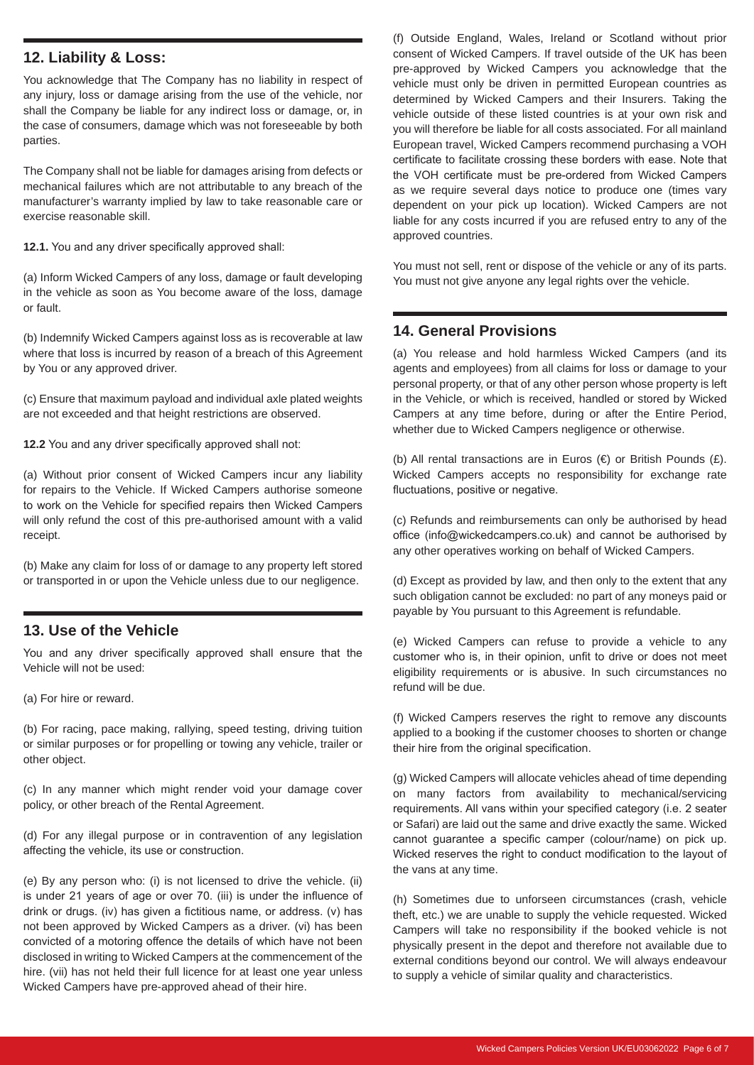#### **12. Liability & Loss:**

You acknowledge that The Company has no liability in respect of any injury, loss or damage arising from the use of the vehicle, nor shall the Company be liable for any indirect loss or damage, or, in the case of consumers, damage which was not foreseeable by both parties.

The Company shall not be liable for damages arising from defects or mechanical failures which are not attributable to any breach of the manufacturer's warranty implied by law to take reasonable care or exercise reasonable skill.

**12.1.** You and any driver specifically approved shall:

(a) Inform Wicked Campers of any loss, damage or fault developing in the vehicle as soon as You become aware of the loss, damage or fault.

(b) Indemnify Wicked Campers against loss as is recoverable at law where that loss is incurred by reason of a breach of this Agreement by You or any approved driver.

(c) Ensure that maximum payload and individual axle plated weights are not exceeded and that height restrictions are observed.

**12.2** You and any driver specifically approved shall not:

(a) Without prior consent of Wicked Campers incur any liability for repairs to the Vehicle. If Wicked Campers authorise someone to work on the Vehicle for specified repairs then Wicked Campers will only refund the cost of this pre-authorised amount with a valid receipt.

(b) Make any claim for loss of or damage to any property left stored or transported in or upon the Vehicle unless due to our negligence.

#### **13. Use of the Vehicle**

You and any driver specifically approved shall ensure that the Vehicle will not be used:

(a) For hire or reward.

(b) For racing, pace making, rallying, speed testing, driving tuition or similar purposes or for propelling or towing any vehicle, trailer or other object.

(c) In any manner which might render void your damage cover policy, or other breach of the Rental Agreement.

(d) For any illegal purpose or in contravention of any legislation affecting the vehicle, its use or construction.

(e) By any person who: (i) is not licensed to drive the vehicle. (ii) is under 21 years of age or over 70. (iii) is under the influence of drink or drugs. (iv) has given a fictitious name, or address. (v) has not been approved by Wicked Campers as a driver. (vi) has been convicted of a motoring offence the details of which have not been disclosed in writing to Wicked Campers at the commencement of the hire. (vii) has not held their full licence for at least one year unless Wicked Campers have pre-approved ahead of their hire.

(f) Outside England, Wales, Ireland or Scotland without prior consent of Wicked Campers. If travel outside of the UK has been pre-approved by Wicked Campers you acknowledge that the vehicle must only be driven in permitted European countries as determined by Wicked Campers and their Insurers. Taking the vehicle outside of these listed countries is at your own risk and you will therefore be liable for all costs associated. For all mainland European travel, Wicked Campers recommend purchasing a VOH certificate to facilitate crossing these borders with ease. Note that the VOH certificate must be pre-ordered from Wicked Campers as we require several days notice to produce one (times vary dependent on your pick up location). Wicked Campers are not liable for any costs incurred if you are refused entry to any of the approved countries.

You must not sell, rent or dispose of the vehicle or any of its parts. You must not give anyone any legal rights over the vehicle.

#### **14. General Provisions**

(a) You release and hold harmless Wicked Campers (and its agents and employees) from all claims for loss or damage to your personal property, or that of any other person whose property is left in the Vehicle, or which is received, handled or stored by Wicked Campers at any time before, during or after the Entire Period, whether due to Wicked Campers negligence or otherwise.

(b) All rental transactions are in Euros  $(\epsilon)$  or British Pounds  $(\epsilon)$ . Wicked Campers accepts no responsibility for exchange rate fluctuations, positive or negative.

(c) Refunds and reimbursements can only be authorised by head office (info@wickedcampers.co.uk) and cannot be authorised by any other operatives working on behalf of Wicked Campers.

(d) Except as provided by law, and then only to the extent that any such obligation cannot be excluded: no part of any moneys paid or payable by You pursuant to this Agreement is refundable.

(e) Wicked Campers can refuse to provide a vehicle to any customer who is, in their opinion, unfit to drive or does not meet eligibility requirements or is abusive. In such circumstances no refund will be due.

(f) Wicked Campers reserves the right to remove any discounts applied to a booking if the customer chooses to shorten or change their hire from the original specification.

(g) Wicked Campers will allocate vehicles ahead of time depending on many factors from availability to mechanical/servicing requirements. All vans within your specified category (i.e. 2 seater or Safari) are laid out the same and drive exactly the same. Wicked cannot guarantee a specific camper (colour/name) on pick up. Wicked reserves the right to conduct modification to the layout of the vans at any time.

(h) Sometimes due to unforseen circumstances (crash, vehicle theft, etc.) we are unable to supply the vehicle requested. Wicked Campers will take no responsibility if the booked vehicle is not physically present in the depot and therefore not available due to external conditions beyond our control. We will always endeavour to supply a vehicle of similar quality and characteristics.